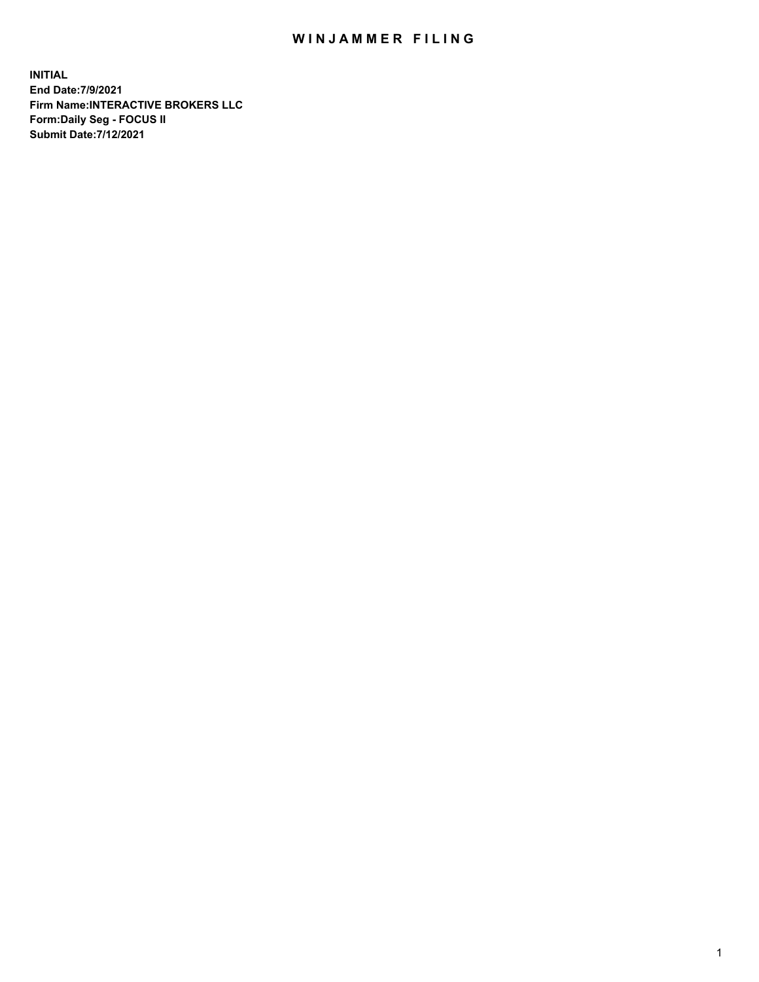## WIN JAMMER FILING

**INITIAL End Date:7/9/2021 Firm Name:INTERACTIVE BROKERS LLC Form:Daily Seg - FOCUS II Submit Date:7/12/2021**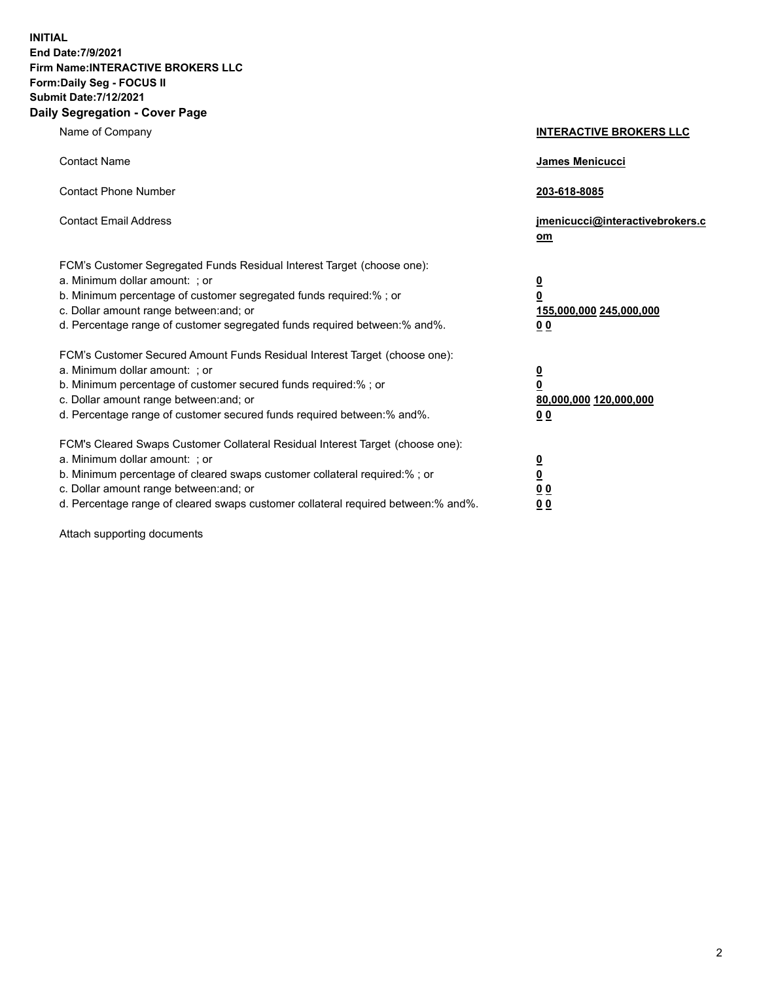**INITIAL End Date:7/9/2021 Firm Name:INTERACTIVE BROKERS LLC Form:Daily Seg - FOCUS II Submit Date:7/12/2021 Daily Segregation - Cover Page**

| Name of Company                                                                                                                                                                                                                                                                                                               | <b>INTERACTIVE BROKERS LLC</b>                                                            |  |
|-------------------------------------------------------------------------------------------------------------------------------------------------------------------------------------------------------------------------------------------------------------------------------------------------------------------------------|-------------------------------------------------------------------------------------------|--|
| <b>Contact Name</b>                                                                                                                                                                                                                                                                                                           | James Menicucci                                                                           |  |
| <b>Contact Phone Number</b>                                                                                                                                                                                                                                                                                                   | 203-618-8085                                                                              |  |
| <b>Contact Email Address</b>                                                                                                                                                                                                                                                                                                  | jmenicucci@interactivebrokers.c<br><u>om</u>                                              |  |
| FCM's Customer Segregated Funds Residual Interest Target (choose one):<br>a. Minimum dollar amount: ; or<br>b. Minimum percentage of customer segregated funds required:% ; or<br>c. Dollar amount range between: and; or<br>d. Percentage range of customer segregated funds required between: % and %.                      | $\overline{\mathbf{0}}$<br>0<br>155,000,000 245,000,000<br>0 <sub>0</sub>                 |  |
| FCM's Customer Secured Amount Funds Residual Interest Target (choose one):<br>a. Minimum dollar amount: ; or<br>b. Minimum percentage of customer secured funds required:%; or<br>c. Dollar amount range between: and; or<br>d. Percentage range of customer secured funds required between:% and%.                           | <u>0</u><br>$\overline{\mathbf{0}}$<br>80,000,000 120,000,000<br>00                       |  |
| FCM's Cleared Swaps Customer Collateral Residual Interest Target (choose one):<br>a. Minimum dollar amount: ; or<br>b. Minimum percentage of cleared swaps customer collateral required:%; or<br>c. Dollar amount range between: and; or<br>d. Percentage range of cleared swaps customer collateral required between:% and%. | <u>0</u><br>$\underline{\mathbf{0}}$<br>$\underline{0}$ $\underline{0}$<br>0 <sub>0</sub> |  |

Attach supporting documents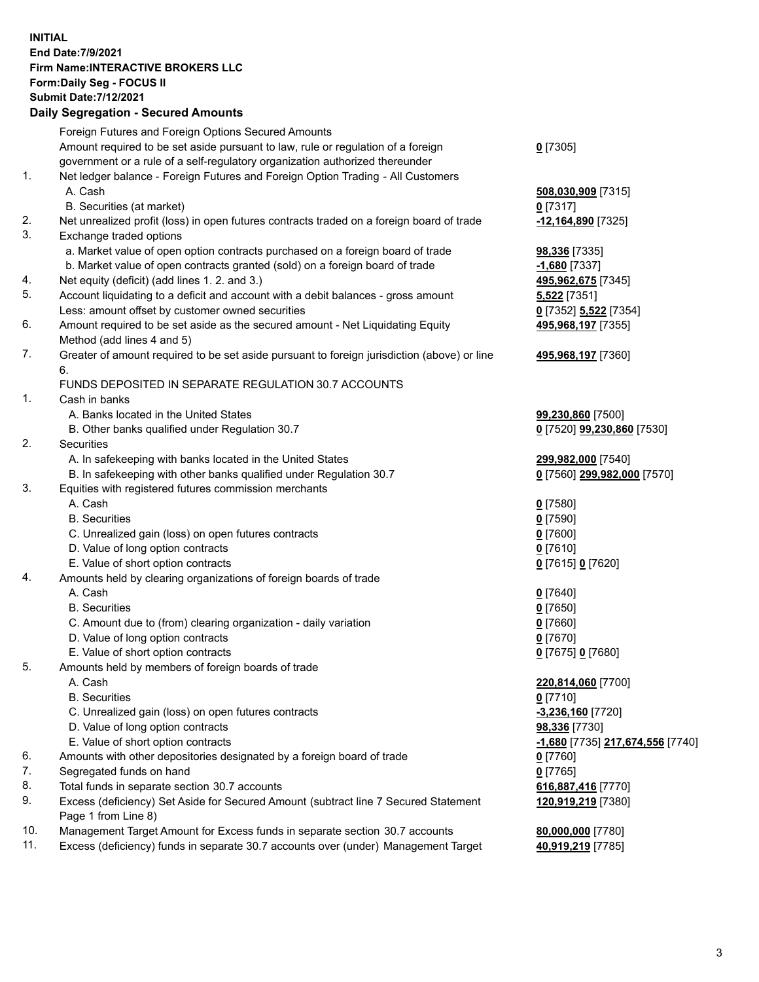**INITIAL End Date:7/9/2021 Firm Name:INTERACTIVE BROKERS LLC Form:Daily Seg - FOCUS II Submit Date:7/12/2021 Daily Segregation - Secured Amounts**

## Foreign Futures and Foreign Options Secured Amounts Amount required to be set aside pursuant to law, rule or regulation of a foreign government or a rule of a self-regulatory organization authorized thereunder **0** [7305] 1. Net ledger balance - Foreign Futures and Foreign Option Trading - All Customers A. Cash **508,030,909** [7315] B. Securities (at market) **0** [7317] 2. Net unrealized profit (loss) in open futures contracts traded on a foreign board of trade **-12,164,890** [7325] 3. Exchange traded options a. Market value of open option contracts purchased on a foreign board of trade **98,336** [7335] b. Market value of open contracts granted (sold) on a foreign board of trade **-1,680** [7337] 4. Net equity (deficit) (add lines 1. 2. and 3.) **495,962,675** [7345] 5. Account liquidating to a deficit and account with a debit balances - gross amount **5,522** [7351] Less: amount offset by customer owned securities **0** [7352] **5,522** [7354] 6. Amount required to be set aside as the secured amount - Net Liquidating Equity Method (add lines 4 and 5) **495,968,197** [7355] 7. Greater of amount required to be set aside pursuant to foreign jurisdiction (above) or line 6. **495,968,197** [7360] FUNDS DEPOSITED IN SEPARATE REGULATION 30.7 ACCOUNTS 1. Cash in banks A. Banks located in the United States **99,230,860** [7500] B. Other banks qualified under Regulation 30.7 **0** [7520] **99,230,860** [7530] 2. Securities A. In safekeeping with banks located in the United States **299,982,000** [7540] B. In safekeeping with other banks qualified under Regulation 30.7 **0** [7560] **299,982,000** [7570] 3. Equities with registered futures commission merchants A. Cash **0** [7580] B. Securities **0** [7590] C. Unrealized gain (loss) on open futures contracts **0** [7600] D. Value of long option contracts **0** [7610] E. Value of short option contracts **0** [7615] **0** [7620] 4. Amounts held by clearing organizations of foreign boards of trade A. Cash **0** [7640] B. Securities **0** [7650] C. Amount due to (from) clearing organization - daily variation **0** [7660] D. Value of long option contracts **0** [7670] E. Value of short option contracts **0** [7675] **0** [7680] 5. Amounts held by members of foreign boards of trade A. Cash **220,814,060** [7700] B. Securities **0** [7710] C. Unrealized gain (loss) on open futures contracts **-3,236,160** [7720] D. Value of long option contracts **98,336** [7730] E. Value of short option contracts **-1,680** [7735] **217,674,556** [7740] 6. Amounts with other depositories designated by a foreign board of trade **0** [7760] 7. Segregated funds on hand **0** [7765] 8. Total funds in separate section 30.7 accounts **616,887,416** [7770] 9. Excess (deficiency) Set Aside for Secured Amount (subtract line 7 Secured Statement Page 1 from Line 8) **120,919,219** [7380] 10. Management Target Amount for Excess funds in separate section 30.7 accounts **80,000,000** [7780] 11. Excess (deficiency) funds in separate 30.7 accounts over (under) Management Target **40,919,219** [7785]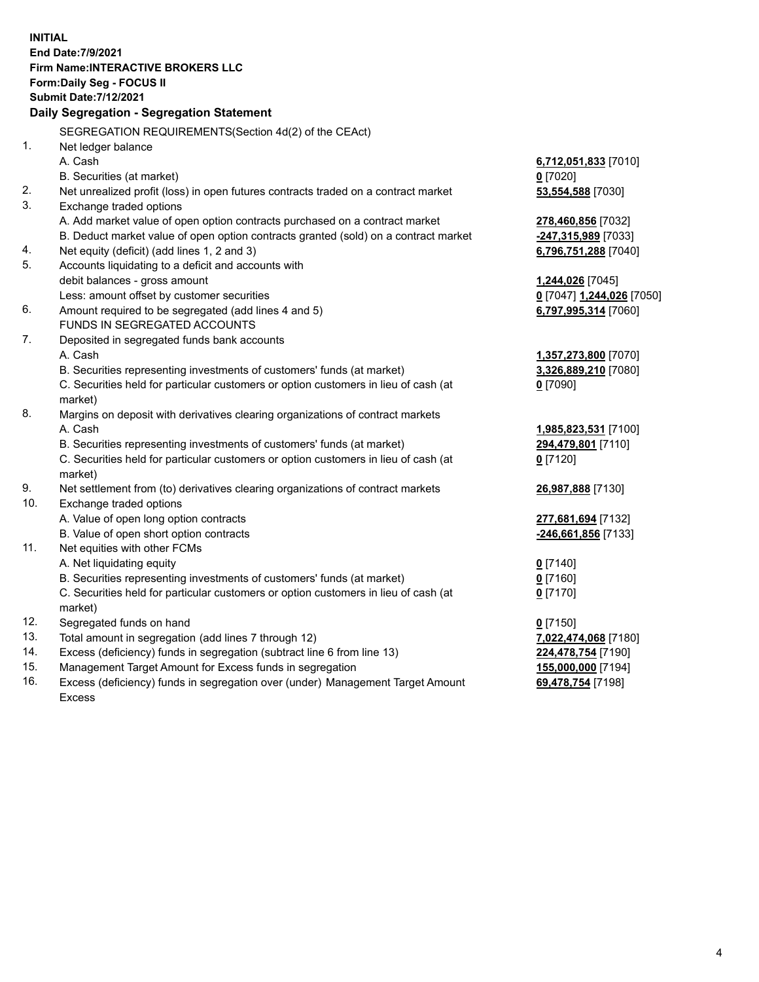**INITIAL End Date:7/9/2021 Firm Name:INTERACTIVE BROKERS LLC Form:Daily Seg - FOCUS II Submit Date:7/12/2021 Daily Segregation - Segregation Statement** SEGREGATION REQUIREMENTS(Section 4d(2) of the CEAct) 1. Net ledger balance A. Cash **6,712,051,833** [7010] B. Securities (at market) **0** [7020] 2. Net unrealized profit (loss) in open futures contracts traded on a contract market **53,554,588** [7030] 3. Exchange traded options A. Add market value of open option contracts purchased on a contract market **278,460,856** [7032] B. Deduct market value of open option contracts granted (sold) on a contract market **-247,315,989** [7033] 4. Net equity (deficit) (add lines 1, 2 and 3) **6,796,751,288** [7040] 5. Accounts liquidating to a deficit and accounts with debit balances - gross amount **1,244,026** [7045] Less: amount offset by customer securities **0** [7047] **1,244,026** [7050] 6. Amount required to be segregated (add lines 4 and 5) **6,797,995,314** [7060] FUNDS IN SEGREGATED ACCOUNTS 7. Deposited in segregated funds bank accounts A. Cash **1,357,273,800** [7070] B. Securities representing investments of customers' funds (at market) **3,326,889,210** [7080] C. Securities held for particular customers or option customers in lieu of cash (at market) **0** [7090] 8. Margins on deposit with derivatives clearing organizations of contract markets A. Cash **1,985,823,531** [7100] B. Securities representing investments of customers' funds (at market) **294,479,801** [7110] C. Securities held for particular customers or option customers in lieu of cash (at market) **0** [7120] 9. Net settlement from (to) derivatives clearing organizations of contract markets **26,987,888** [7130] 10. Exchange traded options A. Value of open long option contracts **277,681,694** [7132] B. Value of open short option contracts **-246,661,856** [7133] 11. Net equities with other FCMs A. Net liquidating equity **0** [7140] B. Securities representing investments of customers' funds (at market) **0** [7160] C. Securities held for particular customers or option customers in lieu of cash (at market) **0** [7170] 12. Segregated funds on hand **0** [7150] 13. Total amount in segregation (add lines 7 through 12) **7,022,474,068** [7180] 14. Excess (deficiency) funds in segregation (subtract line 6 from line 13) **224,478,754** [7190] 15. Management Target Amount for Excess funds in segregation **155,000,000** [7194]

16. Excess (deficiency) funds in segregation over (under) Management Target Amount Excess

**69,478,754** [7198]